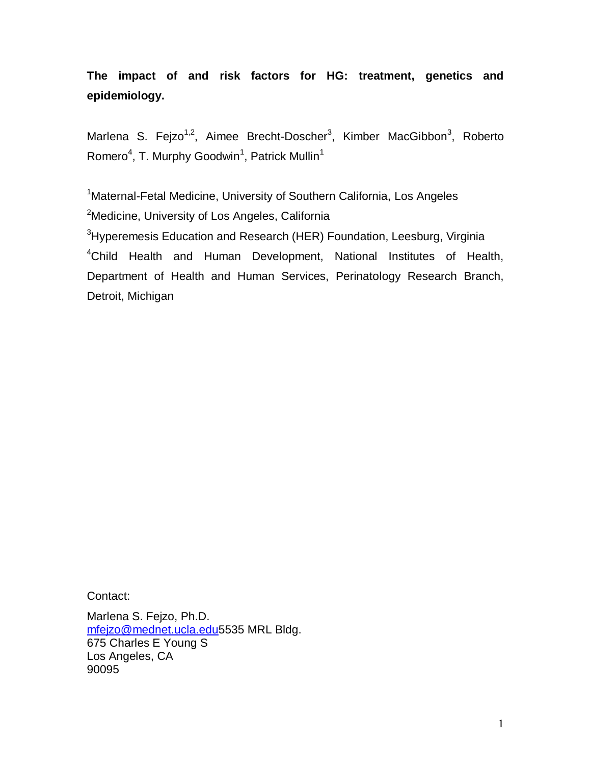**The impact of and risk factors for HG: treatment, genetics and epidemiology.**

Marlena S. Fejzo<sup>1,2</sup>, Aimee Brecht-Doscher<sup>3</sup>, Kimber MacGibbon<sup>3</sup>, Roberto Romero<sup>4</sup>, T. Murphy Goodwin<sup>1</sup>, Patrick Mullin<sup>1</sup>

<sup>1</sup>Maternal-Fetal Medicine, University of Southern California, Los Angeles <sup>2</sup>Medicine, University of Los Angeles, California <sup>3</sup>Hyperemesis Education and Research (HER) Foundation, Leesburg, Virginia <sup>4</sup>Child Health and Human Development, National Institutes of Health, Department of Health and Human Services, Perinatology Research Branch, Detroit, Michigan

Contact:

Marlena S. Fejzo, Ph.D. [mfejzo@mednet.ucla.edu5](mailto:mfejzo@mednet.ucla.edu)535 MRL Bldg. 675 Charles E Young S Los Angeles, CA 90095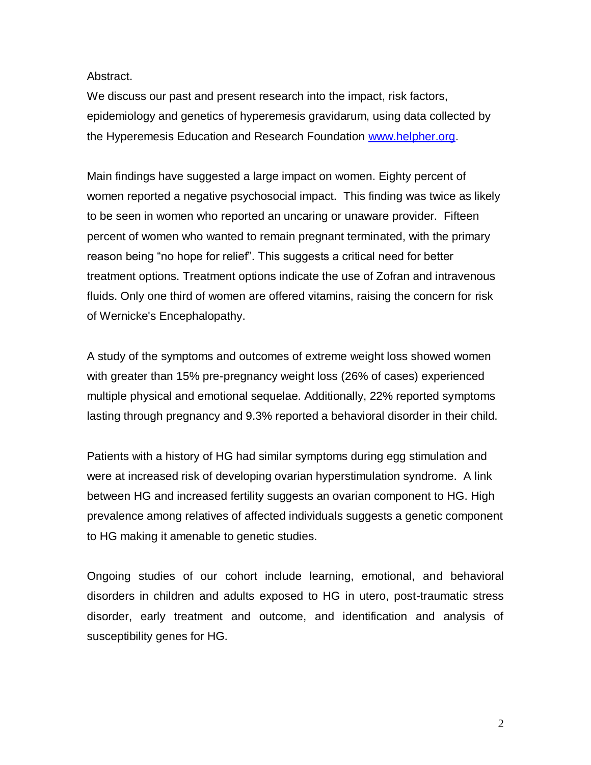Abstract.

We discuss our past and present research into the impact, risk factors, epidemiology and genetics of hyperemesis gravidarum, using data collected by the Hyperemesis Education and Research Foundation [www.helpher.org.](http://www.helpher.org/)

Main findings have suggested a large impact on women. Eighty percent of women reported a negative psychosocial impact. This finding was twice as likely to be seen in women who reported an uncaring or unaware provider. Fifteen percent of women who wanted to remain pregnant terminated, with the primary reason being "no hope for relief". This suggests a critical need for better treatment options. Treatment options indicate the use of Zofran and intravenous fluids. Only one third of women are offered vitamins, raising the concern for risk of Wernicke's Encephalopathy.

A study of the symptoms and outcomes of extreme weight loss showed women with greater than 15% pre-pregnancy weight loss (26% of cases) experienced multiple physical and emotional sequelae. Additionally, 22% reported symptoms lasting through pregnancy and 9.3% reported a behavioral disorder in their child.

Patients with a history of HG had similar symptoms during egg stimulation and were at increased risk of developing ovarian hyperstimulation syndrome. A link between HG and increased fertility suggests an ovarian component to HG. High prevalence among relatives of affected individuals suggests a genetic component to HG making it amenable to genetic studies.

Ongoing studies of our cohort include learning, emotional, and behavioral disorders in children and adults exposed to HG in utero, post-traumatic stress disorder, early treatment and outcome, and identification and analysis of susceptibility genes for HG.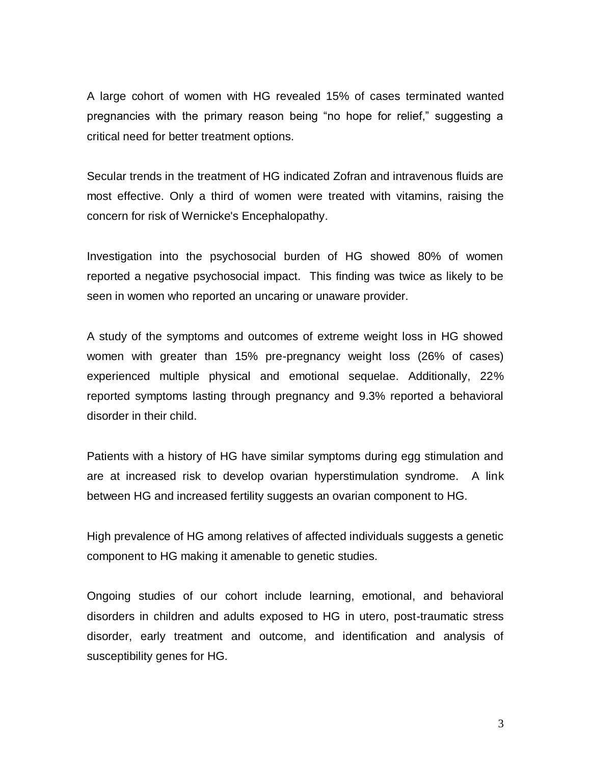A large cohort of women with HG revealed 15% of cases terminated wanted pregnancies with the primary reason being "no hope for relief," suggesting a critical need for better treatment options.

Secular trends in the treatment of HG indicated Zofran and intravenous fluids are most effective. Only a third of women were treated with vitamins, raising the concern for risk of Wernicke's Encephalopathy.

Investigation into the psychosocial burden of HG showed 80% of women reported a negative psychosocial impact. This finding was twice as likely to be seen in women who reported an uncaring or unaware provider.

A study of the symptoms and outcomes of extreme weight loss in HG showed women with greater than 15% pre-pregnancy weight loss (26% of cases) experienced multiple physical and emotional sequelae. Additionally, 22% reported symptoms lasting through pregnancy and 9.3% reported a behavioral disorder in their child.

Patients with a history of HG have similar symptoms during egg stimulation and are at increased risk to develop ovarian hyperstimulation syndrome. A link between HG and increased fertility suggests an ovarian component to HG.

High prevalence of HG among relatives of affected individuals suggests a genetic component to HG making it amenable to genetic studies.

Ongoing studies of our cohort include learning, emotional, and behavioral disorders in children and adults exposed to HG in utero, post-traumatic stress disorder, early treatment and outcome, and identification and analysis of susceptibility genes for HG.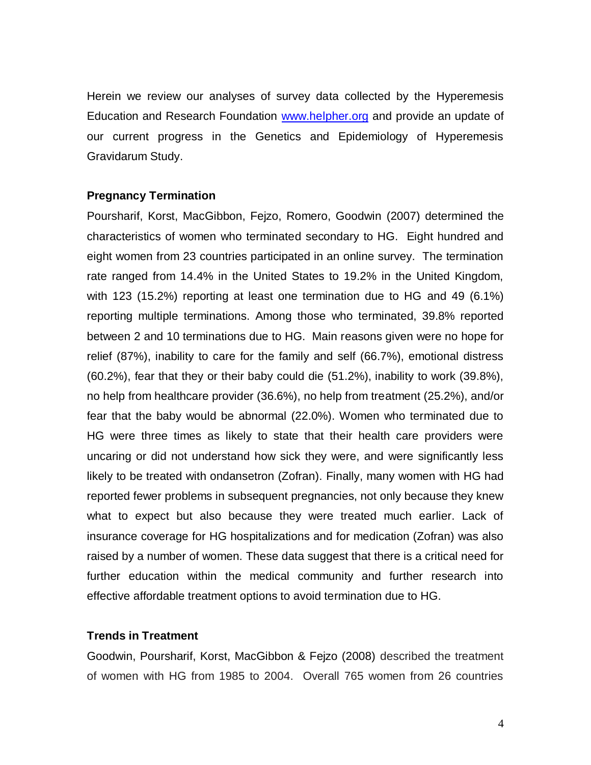Herein we review our analyses of survey data collected by the Hyperemesis Education and Research Foundation [www.helpher.org](http://www.helpher.org/) and provide an update of our current progress in the Genetics and Epidemiology of Hyperemesis Gravidarum Study.

## **Pregnancy Termination**

Poursharif, Korst, MacGibbon, Fejzo, Romero, Goodwin (2007) determined the characteristics of women who terminated secondary to HG. Eight hundred and eight women from 23 countries participated in an online survey. The termination rate ranged from 14.4% in the United States to 19.2% in the United Kingdom, with 123 (15.2%) reporting at least one termination due to HG and 49 (6.1%) reporting multiple terminations. Among those who terminated, 39.8% reported between 2 and 10 terminations due to HG. Main reasons given were no hope for relief (87%), inability to care for the family and self (66.7%), emotional distress (60.2%), fear that they or their baby could die (51.2%), inability to work (39.8%), no help from healthcare provider (36.6%), no help from treatment (25.2%), and/or fear that the baby would be abnormal (22.0%). Women who terminated due to HG were three times as likely to state that their health care providers were uncaring or did not understand how sick they were, and were significantly less likely to be treated with ondansetron (Zofran). Finally, many women with HG had reported fewer problems in subsequent pregnancies, not only because they knew what to expect but also because they were treated much earlier. Lack of insurance coverage for HG hospitalizations and for medication (Zofran) was also raised by a number of women. These data suggest that there is a critical need for further education within the medical community and further research into effective affordable treatment options to avoid termination due to HG.

## **Trends in Treatment**

Goodwin, Poursharif, Korst, MacGibbon & Fejzo (2008) described the treatment of women with HG from 1985 to 2004. Overall 765 women from 26 countries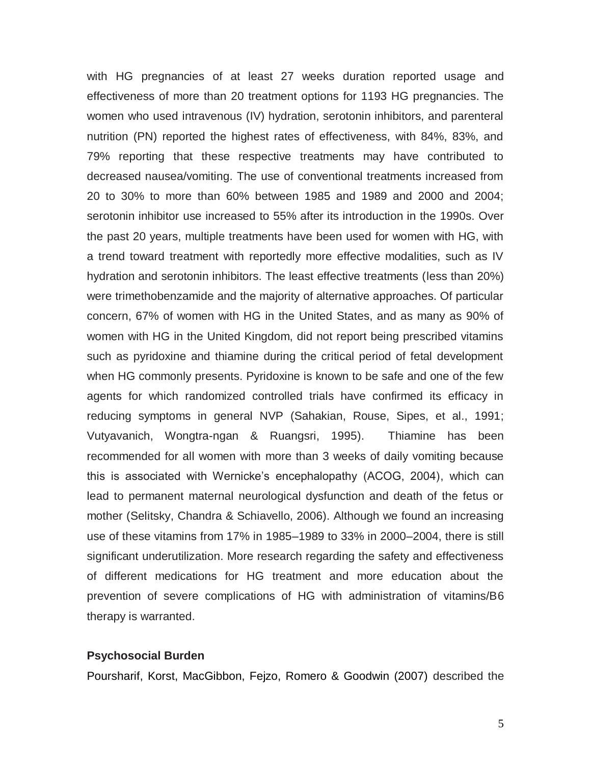with HG pregnancies of at least 27 weeks duration reported usage and effectiveness of more than 20 treatment options for 1193 HG pregnancies. The women who used intravenous (IV) hydration, serotonin inhibitors, and parenteral nutrition (PN) reported the highest rates of effectiveness, with 84%, 83%, and 79% reporting that these respective treatments may have contributed to decreased nausea/vomiting. The use of conventional treatments increased from 20 to 30% to more than 60% between 1985 and 1989 and 2000 and 2004; serotonin inhibitor use increased to 55% after its introduction in the 1990s. Over the past 20 years, multiple treatments have been used for women with HG, with a trend toward treatment with reportedly more effective modalities, such as IV hydration and serotonin inhibitors. The least effective treatments (less than 20%) were trimethobenzamide and the majority of alternative approaches. Of particular concern, 67% of women with HG in the United States, and as many as 90% of women with HG in the United Kingdom, did not report being prescribed vitamins such as pyridoxine and thiamine during the critical period of fetal development when HG commonly presents. Pyridoxine is known to be safe and one of the few agents for which randomized controlled trials have confirmed its efficacy in reducing symptoms in general NVP (Sahakian, Rouse, Sipes, et al., 1991; Vutyavanich, Wongtra-ngan & Ruangsri, 1995). Thiamine has been recommended for all women with more than 3 weeks of daily vomiting because this is associated with Wernicke's encephalopathy (ACOG, 2004), which can lead to permanent maternal neurological dysfunction and death of the fetus or mother (Selitsky, Chandra & Schiavello, 2006). Although we found an increasing use of these vitamins from 17% in 1985–1989 to 33% in 2000–2004, there is still significant underutilization. More research regarding the safety and effectiveness of different medications for HG treatment and more education about the prevention of severe complications of HG with administration of vitamins/B6 therapy is warranted.

#### **Psychosocial Burden**

Poursharif, Korst, MacGibbon, Fejzo, Romero & Goodwin (2007) described the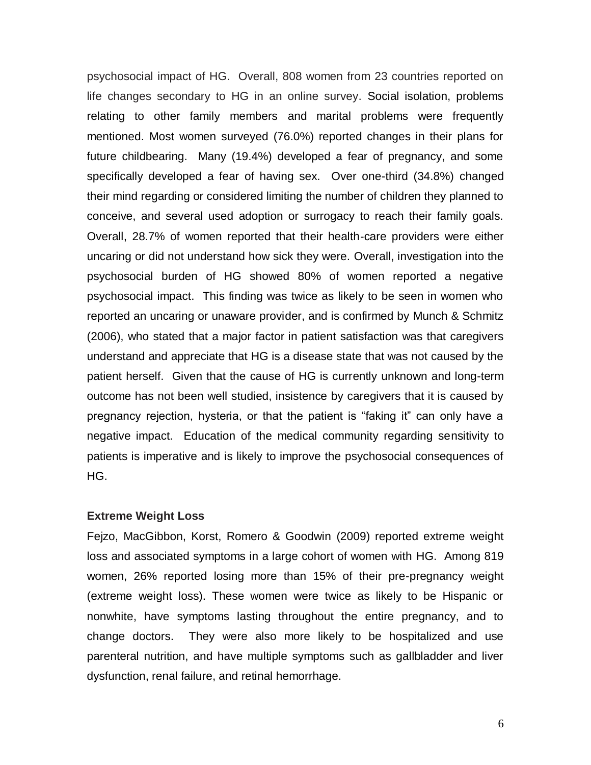psychosocial impact of HG. Overall, 808 women from 23 countries reported on life changes secondary to HG in an online survey. Social isolation, problems relating to other family members and marital problems were frequently mentioned. Most women surveyed (76.0%) reported changes in their plans for future childbearing. Many (19.4%) developed a fear of pregnancy, and some specifically developed a fear of having sex. Over one-third (34.8%) changed their mind regarding or considered limiting the number of children they planned to conceive, and several used adoption or surrogacy to reach their family goals. Overall, 28.7% of women reported that their health-care providers were either uncaring or did not understand how sick they were. Overall, investigation into the psychosocial burden of HG showed 80% of women reported a negative psychosocial impact. This finding was twice as likely to be seen in women who reported an uncaring or unaware provider, and is confirmed by Munch & Schmitz (2006), who stated that a major factor in patient satisfaction was that caregivers understand and appreciate that HG is a disease state that was not caused by the patient herself. Given that the cause of HG is currently unknown and long-term outcome has not been well studied, insistence by caregivers that it is caused by pregnancy rejection, hysteria, or that the patient is "faking it" can only have a negative impact. Education of the medical community regarding sensitivity to patients is imperative and is likely to improve the psychosocial consequences of HG.

## **Extreme Weight Loss**

Fejzo, MacGibbon, Korst, Romero & Goodwin (2009) reported extreme weight loss and associated symptoms in a large cohort of women with HG. Among 819 women, 26% reported losing more than 15% of their pre-pregnancy weight (extreme weight loss). These women were twice as likely to be Hispanic or nonwhite, have symptoms lasting throughout the entire pregnancy, and to change doctors. They were also more likely to be hospitalized and use parenteral nutrition, and have multiple symptoms such as gallbladder and liver dysfunction, renal failure, and retinal hemorrhage.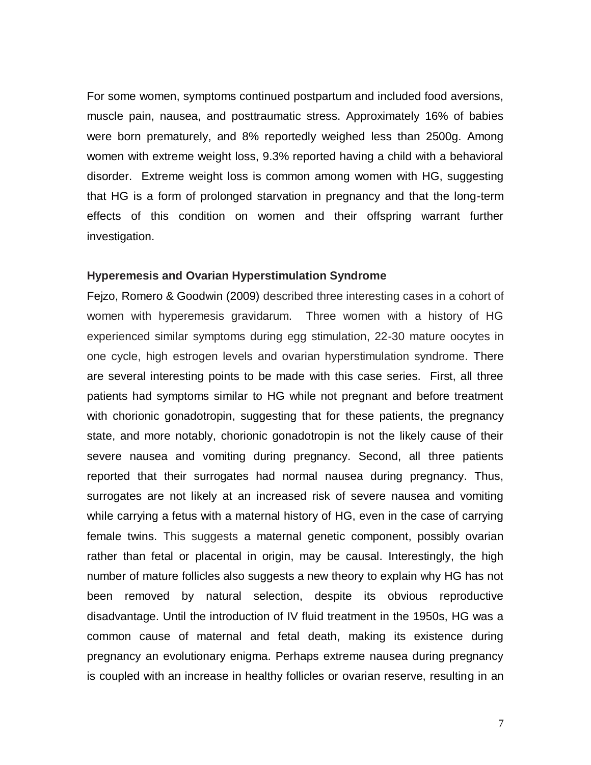For some women, symptoms continued postpartum and included food aversions, muscle pain, nausea, and posttraumatic stress. Approximately 16% of babies were born prematurely, and 8% reportedly weighed less than 2500g. Among women with extreme weight loss, 9.3% reported having a child with a behavioral disorder. Extreme weight loss is common among women with HG, suggesting that HG is a form of prolonged starvation in pregnancy and that the long-term effects of this condition on women and their offspring warrant further investigation.

#### **Hyperemesis and Ovarian Hyperstimulation Syndrome**

Fejzo, Romero & Goodwin (2009) described three interesting cases in a cohort of women with hyperemesis gravidarum. Three women with a history of HG experienced similar symptoms during egg stimulation, 22-30 mature oocytes in one cycle, high estrogen levels and ovarian hyperstimulation syndrome. There are several interesting points to be made with this case series. First, all three patients had symptoms similar to HG while not pregnant and before treatment with chorionic gonadotropin, suggesting that for these patients, the pregnancy state, and more notably, chorionic gonadotropin is not the likely cause of their severe nausea and vomiting during pregnancy. Second, all three patients reported that their surrogates had normal nausea during pregnancy. Thus, surrogates are not likely at an increased risk of severe nausea and vomiting while carrying a fetus with a maternal history of HG, even in the case of carrying female twins. This suggests a maternal genetic component, possibly ovarian rather than fetal or placental in origin, may be causal. Interestingly, the high number of mature follicles also suggests a new theory to explain why HG has not been removed by natural selection, despite its obvious reproductive disadvantage. Until the introduction of IV fluid treatment in the 1950s, HG was a common cause of maternal and fetal death, making its existence during pregnancy an evolutionary enigma. Perhaps extreme nausea during pregnancy is coupled with an increase in healthy follicles or ovarian reserve, resulting in an

7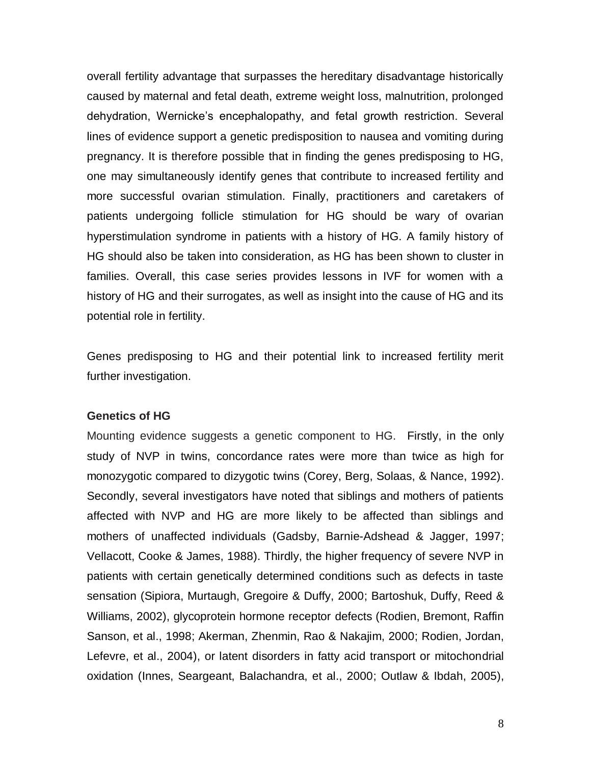overall fertility advantage that surpasses the hereditary disadvantage historically caused by maternal and fetal death, extreme weight loss, malnutrition, prolonged dehydration, Wernicke's encephalopathy, and fetal growth restriction. Several lines of evidence support a genetic predisposition to nausea and vomiting during pregnancy. It is therefore possible that in finding the genes predisposing to HG, one may simultaneously identify genes that contribute to increased fertility and more successful ovarian stimulation. Finally, practitioners and caretakers of patients undergoing follicle stimulation for HG should be wary of ovarian hyperstimulation syndrome in patients with a history of HG. A family history of HG should also be taken into consideration, as HG has been shown to cluster in families. Overall, this case series provides lessons in IVF for women with a history of HG and their surrogates, as well as insight into the cause of HG and its potential role in fertility.

Genes predisposing to HG and their potential link to increased fertility merit further investigation.

#### **Genetics of HG**

Mounting evidence suggests a genetic component to HG. Firstly, in the only study of NVP in twins, concordance rates were more than twice as high for monozygotic compared to dizygotic twins (Corey, Berg, Solaas, & Nance, 1992). Secondly, several investigators have noted that siblings and mothers of patients affected with NVP and HG are more likely to be affected than siblings and mothers of unaffected individuals (Gadsby, Barnie-Adshead & Jagger, 1997; Vellacott, Cooke & James, 1988). Thirdly, the higher frequency of severe NVP in patients with certain genetically determined conditions such as defects in taste sensation (Sipiora, Murtaugh, Gregoire & Duffy, 2000; Bartoshuk, Duffy, Reed & Williams, 2002), glycoprotein hormone receptor defects (Rodien, Bremont, Raffin Sanson, et al., 1998; Akerman, Zhenmin, Rao & Nakajim, 2000; Rodien, Jordan, Lefevre, et al., 2004), or latent disorders in fatty acid transport or mitochondrial oxidation (Innes, Seargeant, Balachandra, et al., 2000; Outlaw & Ibdah, 2005),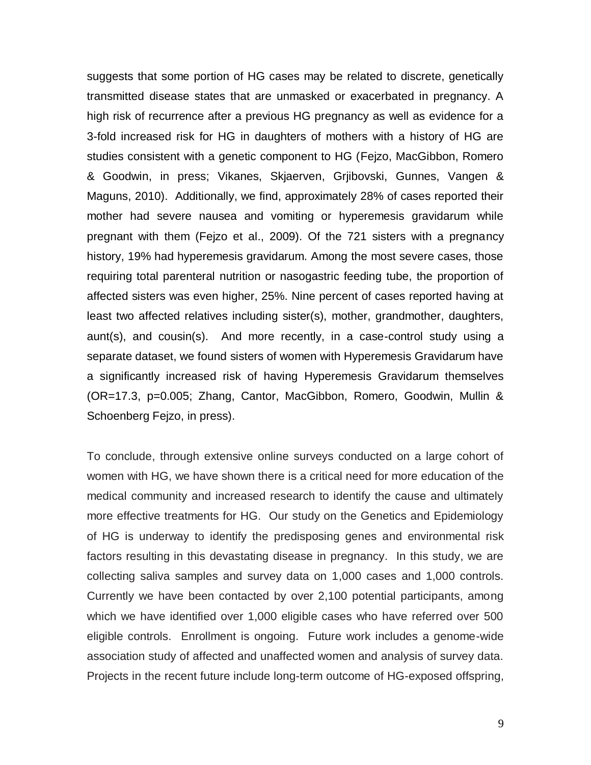suggests that some portion of HG cases may be related to discrete, genetically transmitted disease states that are unmasked or exacerbated in pregnancy. A high risk of recurrence after a previous HG pregnancy as well as evidence for a 3-fold increased risk for HG in daughters of mothers with a history of HG are studies consistent with a genetic component to HG (Fejzo, MacGibbon, Romero & Goodwin, in press; Vikanes, Skjaerven, Grjibovski, Gunnes, Vangen & Maguns, 2010). Additionally, we find, approximately 28% of cases reported their mother had severe nausea and vomiting or hyperemesis gravidarum while pregnant with them (Fejzo et al., 2009). Of the 721 sisters with a pregnancy history, 19% had hyperemesis gravidarum. Among the most severe cases, those requiring total parenteral nutrition or nasogastric feeding tube, the proportion of affected sisters was even higher, 25%. Nine percent of cases reported having at least two affected relatives including sister(s), mother, grandmother, daughters, aunt(s), and cousin(s). And more recently, in a case-control study using a separate dataset, we found sisters of women with Hyperemesis Gravidarum have a significantly increased risk of having Hyperemesis Gravidarum themselves (OR=17.3, p=0.005; Zhang, Cantor, MacGibbon, Romero, Goodwin, Mullin & Schoenberg Fejzo, in press).

To conclude, through extensive online surveys conducted on a large cohort of women with HG, we have shown there is a critical need for more education of the medical community and increased research to identify the cause and ultimately more effective treatments for HG. Our study on the Genetics and Epidemiology of HG is underway to identify the predisposing genes and environmental risk factors resulting in this devastating disease in pregnancy. In this study, we are collecting saliva samples and survey data on 1,000 cases and 1,000 controls. Currently we have been contacted by over 2,100 potential participants, among which we have identified over 1,000 eligible cases who have referred over 500 eligible controls. Enrollment is ongoing. Future work includes a genome-wide association study of affected and unaffected women and analysis of survey data. Projects in the recent future include long-term outcome of HG-exposed offspring,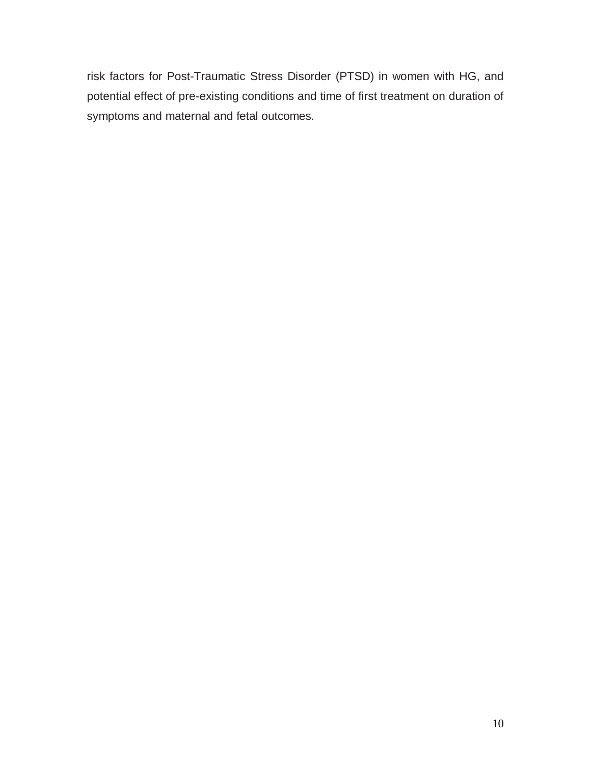risk factors for Post-Traumatic Stress Disorder (PTSD) in women with HG, and potential effect of pre-existing conditions and time of first treatment on duration of symptoms and maternal and fetal outcomes.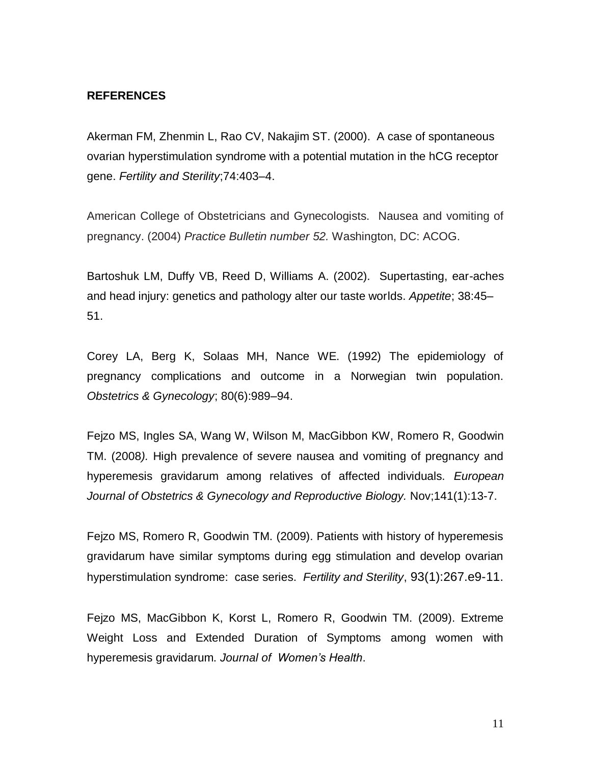# **REFERENCES**

Akerman FM, Zhenmin L, Rao CV, Nakajim ST. (2000). A case of spontaneous ovarian hyperstimulation syndrome with a potential mutation in the hCG receptor gene. *Fertility and Sterility*;74:403–4.

American College of Obstetricians and Gynecologists. Nausea and vomiting of pregnancy. (2004) *Practice Bulletin number 52.* Washington, DC: ACOG.

Bartoshuk LM, Duffy VB, Reed D, Williams A. (2002). Supertasting, ear-aches and head injury: genetics and pathology alter our taste worlds. *Appetite*; 38:45– 51.

Corey LA, Berg K, Solaas MH, Nance WE. (1992) The epidemiology of pregnancy complications and outcome in a Norwegian twin population. *Obstetrics & Gynecology*; 80(6):989–94.

Fejzo MS, Ingles SA, Wang W, Wilson M, MacGibbon KW, Romero R, Goodwin TM. (2008*).* High prevalence of severe nausea and vomiting of pregnancy and hyperemesis gravidarum among relatives of affected individuals. *European Journal of Obstetrics & Gynecology and Reproductive Biology.* Nov;141(1):13-7.

Fejzo MS, Romero R, Goodwin TM. (2009). Patients with history of hyperemesis gravidarum have similar symptoms during egg stimulation and develop ovarian hyperstimulation syndrome: case series. *Fertility and Sterility*, 93(1):267.e9-11.

Fejzo MS, MacGibbon K, Korst L, Romero R, Goodwin TM. (2009). Extreme Weight Loss and Extended Duration of Symptoms among women with hyperemesis gravidarum. *Journal of Women's Health*.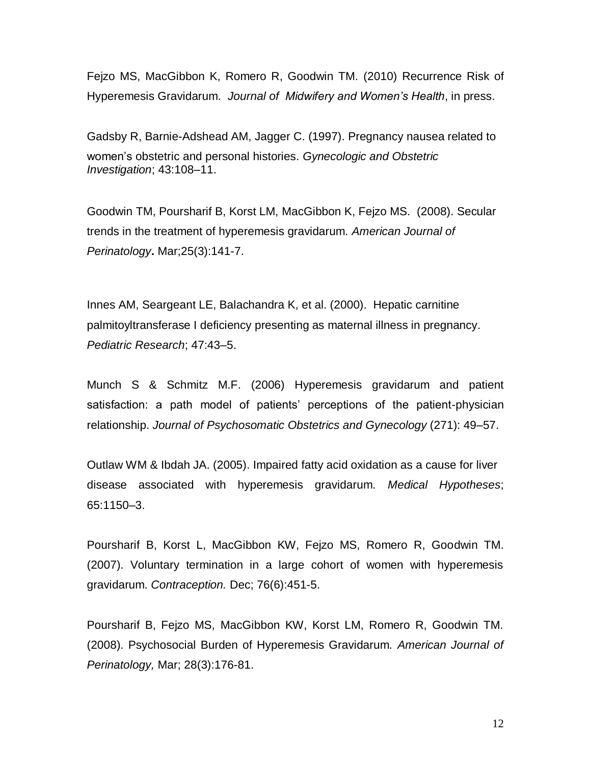Fejzo MS, MacGibbon K, Romero R, Goodwin TM. (2010) Recurrence Risk of Hyperemesis Gravidarum. *Journal of Midwifery and Women's Health*, in press.

Gadsby R, Barnie-Adshead AM, Jagger C. (1997). Pregnancy nausea related to women's obstetric and personal histories. *Gynecologic and Obstetric Investigation*; 43:108–11.

Goodwin TM, Poursharif B, Korst LM, MacGibbon K, Fejzo MS. (2008). Secular trends in the treatment of hyperemesis gravidarum. *American Journal of Perinatology***.** Mar;25(3):141-7.

Innes AM, Seargeant LE, Balachandra K, et al. (2000). Hepatic carnitine palmitoyltransferase I deficiency presenting as maternal illness in pregnancy. *Pediatric Research*; 47:43–5.

Munch S & Schmitz M.F. (2006) Hyperemesis gravidarum and patient satisfaction: a path model of patients' perceptions of the patient-physician relationship. *Journal of Psychosomatic Obstetrics and Gynecology* (271): 49–57.

Outlaw WM & Ibdah JA. (2005). Impaired fatty acid oxidation as a cause for liver disease associated with hyperemesis gravidarum. *Medical Hypotheses*; 65:1150–3.

Poursharif B, Korst L, MacGibbon KW, Fejzo MS, Romero R, Goodwin TM. (2007). Voluntary termination in a large cohort of women with hyperemesis gravidarum. *Contraception.* Dec; 76(6):451-5.

Poursharif B, Fejzo MS, MacGibbon KW, Korst LM, Romero R, Goodwin TM. (2008). Psychosocial Burden of Hyperemesis Gravidarum. *American Journal of Perinatology,* Mar; 28(3):176-81.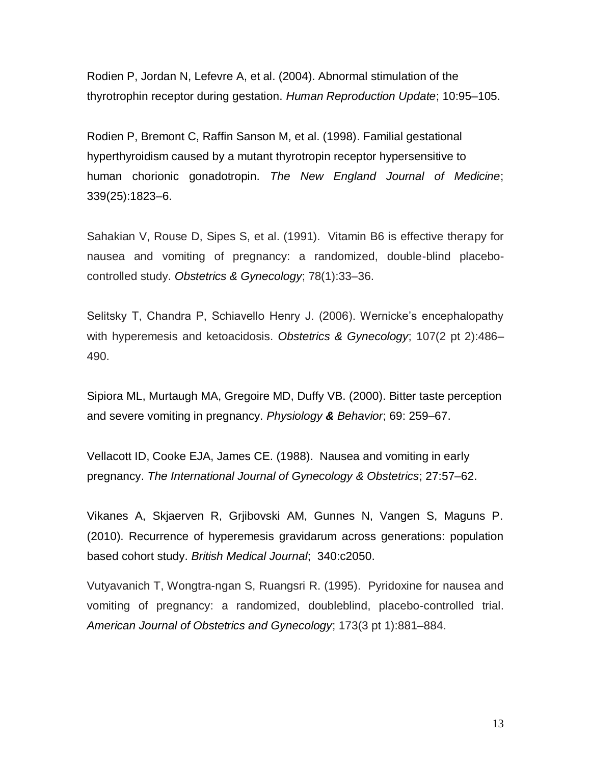Rodien P, Jordan N, Lefevre A, et al. (2004). Abnormal stimulation of the thyrotrophin receptor during gestation. *Human Reproduction Update*; 10:95–105.

Rodien P, Bremont C, Raffin Sanson M, et al. (1998). Familial gestational hyperthyroidism caused by a mutant thyrotropin receptor hypersensitive to human chorionic gonadotropin. *The New England Journal of Medicine*; 339(25):1823–6.

Sahakian V, Rouse D, Sipes S, et al. (1991). Vitamin B6 is effective therapy for nausea and vomiting of pregnancy: a randomized, double-blind placebocontrolled study. *Obstetrics & Gynecology*; 78(1):33–36.

Selitsky T, Chandra P, Schiavello Henry J. (2006). Wernicke's encephalopathy with hyperemesis and ketoacidosis. *Obstetrics & Gynecology*; 107(2 pt 2):486– 490.

Sipiora ML, Murtaugh MA, Gregoire MD, Duffy VB. (2000). Bitter taste perception and severe vomiting in pregnancy. *Physiology & Behavior*; 69: 259–67.

Vellacott ID, Cooke EJA, James CE. (1988). Nausea and vomiting in early pregnancy. *The International Journal of Gynecology & Obstetrics*; 27:57–62.

Vikanes A, Skjaerven R, Grjibovski AM, Gunnes N, Vangen S, Maguns P. (2010). Recurrence of hyperemesis gravidarum across generations: population based cohort study. *British Medical Journal*; 340:c2050.

Vutyavanich T, Wongtra-ngan S, Ruangsri R. (1995). Pyridoxine for nausea and vomiting of pregnancy: a randomized, doubleblind, placebo-controlled trial. *American Journal of Obstetrics and Gynecology*; 173(3 pt 1):881–884.